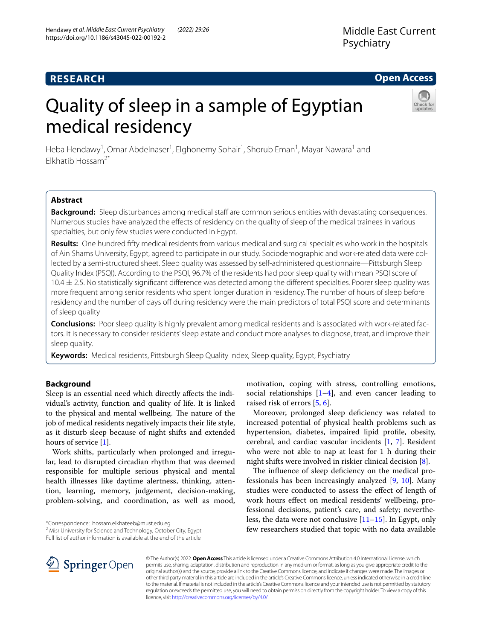# **RESEARCH**

## **Open Access**

# Quality of sleep in a sample of Egyptian medical residency



Heba Hendawy<sup>1</sup>, Omar Abdelnaser<sup>1</sup>, Elghonemy Sohair<sup>1</sup>, Shorub Eman<sup>1</sup>, Mayar Nawara<sup>1</sup> and  $F$ Ikhatib Hossam<sup>2\*</sup>

## **Abstract**

**Background:** Sleep disturbances among medical staff are common serious entities with devastating consequences. Numerous studies have analyzed the effects of residency on the quality of sleep of the medical trainees in various specialties, but only few studies were conducted in Egypt.

**Results:** One hundred ffty medical residents from various medical and surgical specialties who work in the hospitals of Ain Shams University, Egypt, agreed to participate in our study. Sociodemographic and work-related data were collected by a semi-structured sheet. Sleep quality was assessed by self-administered questionnaire—Pittsburgh Sleep Quality Index (PSQI). According to the PSQI, 96.7% of the residents had poor sleep quality with mean PSQI score of  $10.4 \pm 2.5$ . No statistically significant difference was detected among the different specialties. Poorer sleep quality was more frequent among senior residents who spent longer duration in residency. The number of hours of sleep before residency and the number of days off during residency were the main predictors of total PSQI score and determinants of sleep quality

**Conclusions:** Poor sleep quality is highly prevalent among medical residents and is associated with work-related factors. It is necessary to consider residents' sleep estate and conduct more analyses to diagnose, treat, and improve their sleep quality.

**Keywords:** Medical residents, Pittsburgh Sleep Quality Index, Sleep quality, Egypt, Psychiatry

## **Background**

Sleep is an essential need which directly afects the individual's activity, function and quality of life. It is linked to the physical and mental wellbeing. The nature of the job of medical residents negatively impacts their life style, as it disturb sleep because of night shifts and extended hours of service [[1\]](#page-5-0).

Work shifts, particularly when prolonged and irregular, lead to disrupted circadian rhythm that was deemed responsible for multiple serious physical and mental health illnesses like daytime alertness, thinking, attention, learning, memory, judgement, decision-making, problem-solving, and coordination, as well as mood,

<sup>2</sup> Misr University for Science and Technology, October City, Egypt Full list of author information is available at the end of the article

motivation, coping with stress, controlling emotions, social relationships  $[1-4]$  $[1-4]$  $[1-4]$ , and even cancer leading to raised risk of errors [[5,](#page-5-2) [6](#page-5-3)].

Moreover, prolonged sleep defciency was related to increased potential of physical health problems such as hypertension, diabetes, impaired lipid profle, obesity, cerebral, and cardiac vascular incidents [\[1,](#page-5-0) [7\]](#page-5-4). Resident who were not able to nap at least for 1 h during their night shifts were involved in riskier clinical decision [\[8](#page-5-5)].

The influence of sleep deficiency on the medical professionals has been increasingly analyzed [[9,](#page-6-0) [10\]](#page-6-1). Many studies were conducted to assess the efect of length of work hours efect on medical residents' wellbeing, professional decisions, patient's care, and safety; nevertheless, the data were not conclusive  $[11–15]$  $[11–15]$ . In Egypt, only few researchers studied that topic with no data available



© The Author(s) 2022. **Open Access** This article is licensed under a Creative Commons Attribution 4.0 International License, which permits use, sharing, adaptation, distribution and reproduction in any medium or format, as long as you give appropriate credit to the original author(s) and the source, provide a link to the Creative Commons licence, and indicate if changes were made. The images or other third party material in this article are included in the article's Creative Commons licence, unless indicated otherwise in a credit line to the material. If material is not included in the article's Creative Commons licence and your intended use is not permitted by statutory regulation or exceeds the permitted use, you will need to obtain permission directly from the copyright holder. To view a copy of this licence, visit [http://creativecommons.org/licenses/by/4.0/.](http://creativecommons.org/licenses/by/4.0/)

<sup>\*</sup>Correspondence: hossam.elkhateeb@must.edu.eg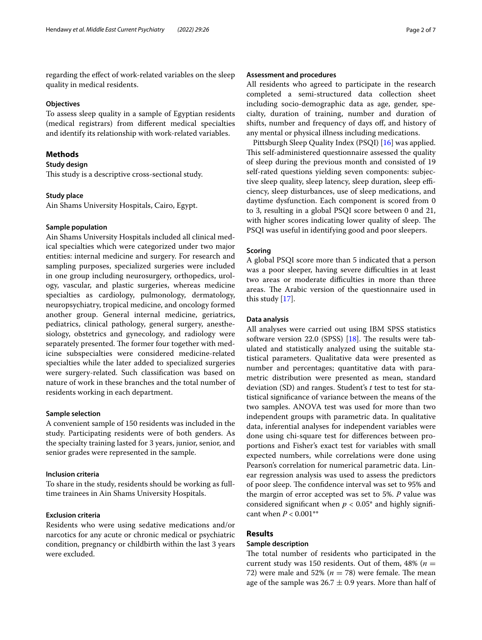regarding the efect of work-related variables on the sleep quality in medical residents.

#### **Objectives**

To assess sleep quality in a sample of Egyptian residents (medical registrars) from diferent medical specialties and identify its relationship with work-related variables.

## **Methods**

## **Study design**

This study is a descriptive cross-sectional study.

#### **Study place**

Ain Shams University Hospitals, Cairo, Egypt.

#### **Sample population**

Ain Shams University Hospitals included all clinical medical specialties which were categorized under two major entities: internal medicine and surgery. For research and sampling purposes, specialized surgeries were included in one group including neurosurgery, orthopedics, urology, vascular, and plastic surgeries, whereas medicine specialties as cardiology, pulmonology, dermatology, neuropsychiatry, tropical medicine, and oncology formed another group. General internal medicine, geriatrics, pediatrics, clinical pathology, general surgery, anesthesiology, obstetrics and gynecology, and radiology were separately presented. The former four together with medicine subspecialties were considered medicine-related specialties while the later added to specialized surgeries were surgery-related. Such classifcation was based on nature of work in these branches and the total number of residents working in each department.

#### **Sample selection**

A convenient sample of 150 residents was included in the study. Participating residents were of both genders. As the specialty training lasted for 3 years, junior, senior, and senior grades were represented in the sample.

#### **Inclusion criteria**

To share in the study, residents should be working as fulltime trainees in Ain Shams University Hospitals.

## **Exclusion criteria**

Residents who were using sedative medications and/or narcotics for any acute or chronic medical or psychiatric condition, pregnancy or childbirth within the last 3 years were excluded.

## **Assessment and procedures**

All residents who agreed to participate in the research completed a semi-structured data collection sheet including socio-demographic data as age, gender, specialty, duration of training, number and duration of shifts, number and frequency of days of, and history of any mental or physical illness including medications.

Pittsburgh Sleep Quality Index (PSQI) [[16](#page-6-4)] was applied. This self-administered questionnaire assessed the quality of sleep during the previous month and consisted of 19 self-rated questions yielding seven components: subjective sleep quality, sleep latency, sleep duration, sleep efficiency, sleep disturbances, use of sleep medications, and daytime dysfunction. Each component is scored from 0 to 3, resulting in a global PSQI score between 0 and 21, with higher scores indicating lower quality of sleep. The PSQI was useful in identifying good and poor sleepers.

#### **Scoring**

A global PSQI score more than 5 indicated that a person was a poor sleeper, having severe difficulties in at least two areas or moderate difficulties in more than three areas. The Arabic version of the questionnaire used in this study [[17\]](#page-6-5).

#### **Data analysis**

All analyses were carried out using IBM SPSS statistics software version 22.0 (SPSS)  $[18]$  $[18]$ . The results were tabulated and statistically analyzed using the suitable statistical parameters. Qualitative data were presented as number and percentages; quantitative data with parametric distribution were presented as mean, standard deviation (SD) and ranges. Student's *t* test to test for statistical signifcance of variance between the means of the two samples. ANOVA test was used for more than two independent groups with parametric data. In qualitative data, inferential analyses for independent variables were done using chi-square test for diferences between proportions and Fisher's exact test for variables with small expected numbers, while correlations were done using Pearson's correlation for numerical parametric data. Linear regression analysis was used to assess the predictors of poor sleep. The confidence interval was set to 95% and the margin of error accepted was set to 5%. *P* value was considered significant when  $p < 0.05^*$  and highly significant when *P* < 0.001\*\*

## **Results**

## **Sample description**

The total number of residents who participated in the current study was 150 residents. Out of them,  $48\%$  ( $n =$ 72) were male and 52% ( $n = 78$ ) were female. The mean age of the sample was  $26.7 \pm 0.9$  years. More than half of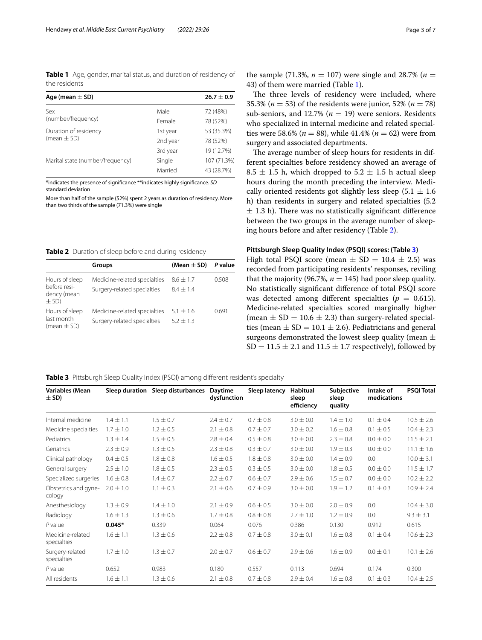<span id="page-2-0"></span>**Table 1** Age, gender, marital status, and duration of residency of the residents

| Age (mean $\pm$ SD)              |          | $26.7 \pm 0.9$ |
|----------------------------------|----------|----------------|
| Sex                              | Male     | 72 (48%)       |
| (number/frequency)               | Female   | 78 (52%)       |
| Duration of residency            | 1st year | 53 (35.3%)     |
| (mean $\pm$ SD)                  | 2nd year | 78 (52%)       |
|                                  | 3rd year | 19 (12.7%)     |
| Marital state (number/frequency) | Single   | 107 (71.3%)    |
|                                  | Married  | 43 (28.7%)     |

\*indicates the presence of signifcance \*\*indicates highly signifcance. *SD* standard deviation

More than half of the sample (52%) spent 2 years as duration of residency. More than two thirds of the sample (71.3%) were single

<span id="page-2-1"></span>**Table 2** Duration of sleep before and during residency

|                                                            | Groups                                                      | (Mean $\pm$ SD)              | P value |
|------------------------------------------------------------|-------------------------------------------------------------|------------------------------|---------|
| Hours of sleep<br>before resi-<br>dency (mean<br>$\pm$ SD) | Medicine-related specialties<br>Surgery-related specialties | $8.6 + 1.7$<br>$8.4 + 1.4$   | 0.508   |
| Hours of sleep<br>last month<br>(mean $\pm$ SD)            | Medicine-related specialties<br>Surgery-related specialties | $5.1 \pm 1.6$<br>$5.2 + 1.3$ | 0.691   |

the sample (71.3%,  $n = 107$ ) were single and 28.7% ( $n =$ 43) of them were married (Table [1\)](#page-2-0).

The three levels of residency were included, where 35.3% ( $n = 53$ ) of the residents were junior, 52% ( $n = 78$ ) sub-seniors, and 12.7% ( $n = 19$ ) were seniors. Residents who specialized in internal medicine and related specialties were 58.6% ( $n = 88$ ), while 41.4% ( $n = 62$ ) were from surgery and associated departments.

The average number of sleep hours for residents in different specialties before residency showed an average of  $8.5 \pm 1.5$  h, which dropped to  $5.2 \pm 1.5$  h actual sleep hours during the month preceding the interview. Medically oriented residents got slightly less sleep  $(5.1 \pm 1.6)$ h) than residents in surgery and related specialties (5.2  $\pm$  1.3 h). There was no statistically significant difference between the two groups in the average number of sleeping hours before and after residency (Table [2\)](#page-2-1).

#### **Pittsburgh Sleep Quality Index (PSQI) scores: (Table [3](#page-2-2))**

High total PSQI score (mean  $\pm$  SD = 10.4  $\pm$  2.5) was recorded from participating residents' responses, reviling that the majority (96.7%,  $n = 145$ ) had poor sleep quality. No statistically signifcant diference of total PSQI score was detected among different specialties  $(p = 0.615)$ . Medicine-related specialties scored marginally higher (mean  $\pm$  SD = 10.6  $\pm$  2.3) than surgery-related specialties (mean  $\pm$  SD = 10.1  $\pm$  2.6). Pediatricians and general surgeons demonstrated the lowest sleep quality (mean  $\pm$  $SD = 11.5 \pm 2.1$  and  $11.5 \pm 1.7$  respectively), followed by

<span id="page-2-2"></span>**Table 3** Pittsburgh Sleep Quality Index (PSQI) among different resident's specialty

| Variables (Mean<br>$\pm$ SD)    | Sleep duration | Sleep disturbances | Daytime<br>dysfunction | Sleep latency | <b>Habitual</b><br>sleep<br>efficiency | Subjective<br>sleep<br>quality | Intake of<br>medications | <b>PSQI Total</b> |
|---------------------------------|----------------|--------------------|------------------------|---------------|----------------------------------------|--------------------------------|--------------------------|-------------------|
| Internal medicine               | $1.4 \pm 1.1$  | $1.5 \pm 0.7$      | $2.4 \pm 0.7$          | $0.7 \pm 0.8$ | $3.0 \pm 0.0$                          | $1.4 \pm 1.0$                  | $0.1 \pm 0.4$            | $10.5 \pm 2.6$    |
| Medicine specialties            | $1.7 \pm 1.0$  | $1.2 \pm 0.5$      | $2.1 \pm 0.8$          | $0.7 \pm 0.7$ | $3.0 \pm 0.2$                          | $1.6 \pm 0.8$                  | $0.1 \pm 0.5$            | $10.4 \pm 2.3$    |
| Pediatrics                      | $1.3 \pm 1.4$  | $1.5 \pm 0.5$      | $2.8 \pm 0.4$          | $0.5 \pm 0.8$ | $3.0 \pm 0.0$                          | $2.3 \pm 0.8$                  | $0.0 \pm 0.0$            | $11.5 \pm 2.1$    |
| Geriatrics                      | $2.3 \pm 0.9$  | $1.3 \pm 0.5$      | $2.3 \pm 0.8$          | $0.3 \pm 0.7$ | $3.0 \pm 0.0$                          | $1.9 \pm 0.3$                  | $0.0 \pm 0.0$            | $11.1 \pm 1.6$    |
| Clinical pathology              | $0.4 \pm 0.5$  | $1.8 \pm 0.8$      | $1.6 \pm 0.5$          | $1.8 \pm 0.8$ | $3.0 \pm 0.0$                          | $1.4 \pm 0.9$                  | 0.0                      | $10.0 \pm 3.1$    |
| General surgery                 | $2.5 \pm 1.0$  | $1.8 \pm 0.5$      | $2.3 \pm 0.5$          | $0.3 \pm 0.5$ | $3.0 \pm 0.0$                          | $1.8 \pm 0.5$                  | $0.0 \pm 0.0$            | $11.5 \pm 1.7$    |
| Specialized surgeries           | $1.6 \pm 0.8$  | $1.4 \pm 0.7$      | $2.2 \pm 0.7$          | $0.6 \pm 0.7$ | $2.9 \pm 0.6$                          | $1.5 \pm 0.7$                  | $0.0 \pm 0.0$            | $10.2 \pm 2.2$    |
| Obstetrics and gyne-<br>cology  | $2.0 \pm 1.0$  | $1.1 \pm 0.3$      | $2.1 \pm 0.6$          | $0.7 \pm 0.9$ | $3.0 \pm 0.0$                          | $1.9 \pm 1.2$                  | $0.1 \pm 0.3$            | $10.9 \pm 2.4$    |
| Anesthesiology                  | $1.3 \pm 0.9$  | $1.4 \pm 1.0$      | $2.1 \pm 0.9$          | $0.6 \pm 0.5$ | $3.0 \pm 0.0$                          | $2.0 \pm 0.9$                  | 0.0                      | $10.4 \pm 3.0$    |
| Radiology                       | $1.6 \pm 1.3$  | $1.3 \pm 0.6$      | $1.7 \pm 0.8$          | $0.8 \pm 0.8$ | $2.7 \pm 1.0$                          | $1.2 \pm 0.9$                  | 0.0                      | $9.3 \pm 3.1$     |
| $P$ value                       | $0.045*$       | 0.339              | 0.064                  | 0.076         | 0.386                                  | 0.130                          | 0.912                    | 0.615             |
| Medicine-related<br>specialties | $1.6 \pm 1.1$  | $1.3 \pm 0.6$      | $2.2 \pm 0.8$          | $0.7 \pm 0.8$ | $3.0 \pm 0.1$                          | $1.6 \pm 0.8$                  | $0.1 \pm 0.4$            | $10.6 \pm 2.3$    |
| Surgery-related<br>specialties  | $1.7 \pm 1.0$  | $1.3 \pm 0.7$      | $2.0 \pm 0.7$          | $0.6 \pm 0.7$ | $2.9 \pm 0.6$                          | $1.6 \pm 0.9$                  | $0.0 \pm 0.1$            | $10.1 \pm 2.6$    |
| $P$ value                       | 0.652          | 0.983              | 0.180                  | 0.557         | 0.113                                  | 0.694                          | 0.174                    | 0.300             |
| All residents                   | $1.6 \pm 1.1$  | $1.3 \pm 0.6$      | $2.1 \pm 0.8$          | $0.7 \pm 0.8$ | $2.9 \pm 0.4$                          | $1.6 \pm 0.8$                  | $0.1 \pm 0.3$            | $10.4 \pm 2.5$    |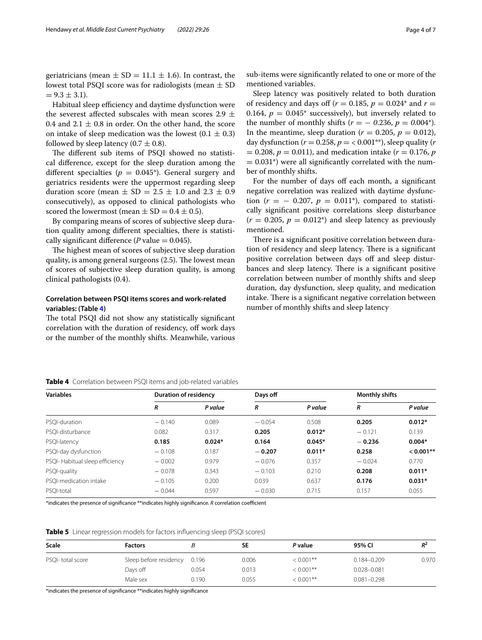geriatricians (mean  $\pm$  SD = 11.1  $\pm$  1.6). In contrast, the lowest total PSQI score was for radiologists (mean  $\pm$  SD  $= 9.3 \pm 3.1$ .

Habitual sleep efficiency and daytime dysfunction were the severest affected subscales with mean scores 2.9  $\pm$ 0.4 and  $2.1 \pm 0.8$  in order. On the other hand, the score on intake of sleep medication was the lowest  $(0.1 \pm 0.3)$ followed by sleep latency  $(0.7 \pm 0.8)$ .

The different sub items of PSQI showed no statistical diference, except for the sleep duration among the different specialties ( $p = 0.045^*$ ). General surgery and geriatrics residents were the uppermost regarding sleep duration score (mean  $\pm$  SD = 2.5  $\pm$  1.0 and 2.3  $\pm$  0.9 consecutively), as opposed to clinical pathologists who scored the lowermost (mean  $\pm$  SD = 0.4  $\pm$  0.5).

By comparing means of scores of subjective sleep duration quality among diferent specialties, there is statistically significant difference (*P* value  $= 0.045$ ).

The highest mean of scores of subjective sleep duration quality, is among general surgeons  $(2.5)$ . The lowest mean of scores of subjective sleep duration quality, is among clinical pathologists (0.4).

## **Correlation between PSQI items scores and work‑related variables: (Table [4](#page-3-0))**

The total PSQI did not show any statistically significant correlation with the duration of residency, of work days or the number of the monthly shifts. Meanwhile, various sub-items were signifcantly related to one or more of the mentioned variables.

Sleep latency was positively related to both duration of residency and days off ( $r = 0.185$ ,  $p = 0.024$ <sup>\*</sup> and  $r =$ 0.164,  $p = 0.045^*$  successively), but inversely related to the number of monthly shifts  $(r = -0.236, p = 0.004^*)$ . In the meantime, sleep duration ( $r = 0.205$ ,  $p = 0.012$ ), day dysfunction  $(r = 0.258, p = 0.001^{**})$ , sleep quality  $(r = 0.258, p = 0.001^{**})$  $p = 0.208$ ,  $p = 0.011$ , and medication intake ( $r = 0.176$ ,  $p = 0.017$  $= 0.031^*$ ) were all significantly correlated with the number of monthly shifts.

For the number of days off each month, a significant negative correlation was realized with daytime dysfunction ( $r = -0.207$ ,  $p = 0.011$ <sup>\*</sup>), compared to statistically signifcant positive correlations sleep disturbance  $(r = 0.205, p = 0.012^*)$  and sleep latency as previously mentioned.

There is a significant positive correlation between duration of residency and sleep latency. There is a significant positive correlation between days off and sleep disturbances and sleep latency. There is a significant positive correlation between number of monthly shifts and sleep duration, day dysfunction, sleep quality, and medication intake. There is a significant negative correlation between number of monthly shifts and sleep latency

<span id="page-3-0"></span>**Table 4** Correlation between PSQI items and job-related variables

| Variables                       | <b>Duration of residency</b> |          | Days off |          | <b>Monthly shifts</b> |             |
|---------------------------------|------------------------------|----------|----------|----------|-----------------------|-------------|
|                                 | R                            | P value  | R        | P value  | R                     | P value     |
| PSOI-duration                   | $-0.140$                     | 0.089    | $-0.054$ | 0.508    | 0.205                 | $0.012*$    |
| PSOI-disturbance                | 0.082                        | 0.317    | 0.205    | $0.012*$ | $-0.121$              | 0.139       |
| PSQI-latency                    | 0.185                        | $0.024*$ | 0.164    | $0.045*$ | $-0.236$              | $0.004*$    |
| PSQI-day dysfunction            | $-0.108$                     | 0.187    | $-0.207$ | $0.011*$ | 0.258                 | $< 0.001**$ |
| PSQI- Habitual sleep efficiency | $-0.002$                     | 0.979    | $-0.076$ | 0.357    | $-0.024$              | 0.770       |
| PSQI-quality                    | $-0.078$                     | 0.343    | $-0.103$ | 0.210    | 0.208                 | $0.011*$    |
| PSOI-medication intake          | $-0.105$                     | 0.200    | 0.039    | 0.637    | 0.176                 | $0.031*$    |
| PSOI-total                      | $-0.044$                     | 0.597    | $-0.030$ | 0.715    | 0.157                 | 0.055       |
|                                 |                              |          |          |          |                       |             |

\*indicates the presence of significance \*\*indicates highly significance. *R* correlation coefficient

<span id="page-3-1"></span>**Table 5** Linear regression models for factors influencing sleep (PSQI scores)

| <b>Scale</b>      | <b>Factors</b>         |       | SΕ    | P value      | 95% CI          | $R^2$ |
|-------------------|------------------------|-------|-------|--------------|-----------------|-------|
| PSQI- total score | Sleep before residency | 0.196 | 0.006 | $< 0.001$ ** | $0.184 - 0.209$ | 0.970 |
|                   | Days off               | 0.054 | 0.013 | $< 0.001$ ** | 0.028-0.081     |       |
|                   | Male sex               | 0.190 | 0.055 | $< 0.001$ ** | $0.081 - 0.298$ |       |

\*indicates the presence of signifcance \*\*indicates highly signifcance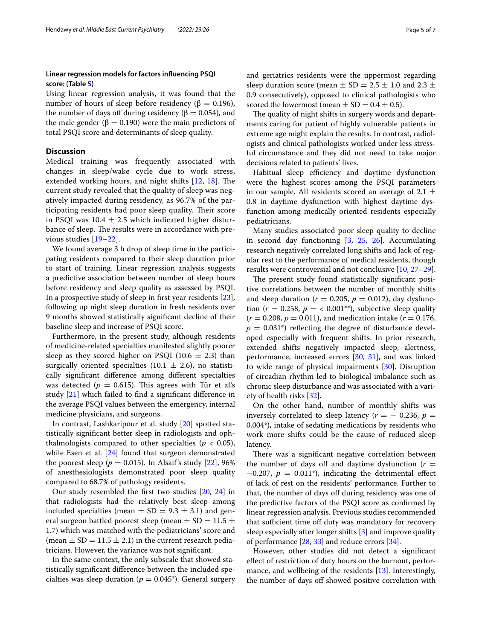## **Linear regression models for factors infuencing PSQI score: (Table [5](#page-3-1))**

Using linear regression analysis, it was found that the number of hours of sleep before residency (β = 0.196), the number of days off during residency ( $\beta = 0.054$ ), and the male gender ( $\beta = 0.190$ ) were the main predictors of total PSQI score and determinants of sleep quality.

## **Discussion**

Medical training was frequently associated with changes in sleep/wake cycle due to work stress, extended working hours, and night shifts  $[12, 18]$  $[12, 18]$  $[12, 18]$  $[12, 18]$  $[12, 18]$ . The current study revealed that the quality of sleep was negatively impacted during residency, as 96.7% of the participating residents had poor sleep quality. Their score in PSQI was  $10.4 \pm 2.5$  which indicated higher disturbance of sleep. The results were in accordance with previous studies [[19–](#page-6-8)[22\]](#page-6-9).

We found average 3 h drop of sleep time in the participating residents compared to their sleep duration prior to start of training. Linear regression analysis suggests a predictive association between number of sleep hours before residency and sleep quality as assessed by PSQI. In a prospective study of sleep in frst year residents [\[23](#page-6-10)], following up night sleep duration in fresh residents over 9 months showed statistically signifcant decline of their baseline sleep and increase of PSQI score.

Furthermore, in the present study, although residents of medicine-related specialties manifested slightly poorer sleep as they scored higher on PSQI (10.6  $\pm$  2.3) than surgically oriented specialties (10.1  $\pm$  2.6), no statistically signifcant diference among diferent specialties was detected ( $p = 0.615$ ). This agrees with Tür et al.'s study [\[21\]](#page-6-11) which failed to fnd a signifcant diference in the average PSQI values between the emergency, internal medicine physicians, and surgeons.

In contrast, Lashkaripour et al. study [\[20](#page-6-12)] spotted statistically signifcant better sleep in radiologists and ophthalmologists compared to other specialties ( $p < 0.05$ ), while Esen et al. [\[24\]](#page-6-13) found that surgeon demonstrated the poorest sleep ( $p = 0.015$ ). In Alsaif's study [[22](#page-6-9)], 96% of anesthesiologists demonstrated poor sleep quality compared to 68.7% of pathology residents.

Our study resembled the frst two studies [[20](#page-6-12), [24](#page-6-13)] in that radiologists had the relatively best sleep among included specialties (mean  $\pm$  SD = 9.3  $\pm$  3.1) and general surgeon battled poorest sleep (mean  $\pm$  SD = 11.5  $\pm$ 1.7) which was matched with the pediatricians' score and (mean  $\pm$  SD = 11.5  $\pm$  2.1) in the current research pediatricians. However, the variance was not signifcant.

In the same context, the only subscale that showed statistically signifcant diference between the included specialties was sleep duration ( $p = 0.045^*$ ). General surgery and geriatrics residents were the uppermost regarding sleep duration score (mean  $\pm$  SD = 2.5  $\pm$  1.0 and 2.3  $\pm$ 0.9 consecutively), opposed to clinical pathologists who scored the lowermost (mean  $\pm$  SD = 0.4  $\pm$  0.5).

The quality of night shifts in surgery words and departments caring for patient of highly vulnerable patients in extreme age might explain the results. In contrast, radiologists and clinical pathologists worked under less stressful circumstance and they did not need to take major decisions related to patients' lives.

Habitual sleep efficiency and daytime dysfunction were the highest scores among the PSQI parameters in our sample. All residents scored an average of 2.1  $\pm$ 0.8 in daytime dysfunction with highest daytime dysfunction among medically oriented residents especially pediatricians.

Many studies associated poor sleep quality to decline in second day functioning [\[3](#page-5-6), [25](#page-6-14), [26\]](#page-6-15). Accumulating research negatively correlated long shifts and lack of regular rest to the performance of medical residents, though results were controversial and not conclusive [\[10](#page-6-1), [27](#page-6-16)[–29](#page-6-17)].

The present study found statistically significant positive correlations between the number of monthly shifts and sleep duration ( $r = 0.205$ ,  $p = 0.012$ ), day dysfunction ( $r = 0.258$ ,  $p = \langle 0.001^{**} \rangle$ , subjective sleep quality  $(r = 0.208, p = 0.011)$ , and medication intake  $(r = 0.176,$  $p = 0.031^*$  reflecting the degree of disturbance developed especially with frequent shifts. In prior research, extended shifts negatively impacted sleep, alertness, performance, increased errors [[30,](#page-6-18) [31\]](#page-6-19), and was linked to wide range of physical impairments [[30\]](#page-6-18). Disruption of circadian rhythm led to biological imbalance such as chronic sleep disturbance and was associated with a variety of health risks [\[32\]](#page-6-20).

On the other hand, number of monthly shifts was inversely correlated to sleep latency  $(r = -0.236, p = 0.236)$ 0.004\*), intake of sedating medications by residents who work more shifts could be the cause of reduced sleep latency.

There was a significant negative correlation between the number of days off and daytime dysfunction  $(r =$  $-0.207$ ,  $p = 0.011$ <sup>\*</sup>), indicating the detrimental effect of lack of rest on the residents' performance. Further to that, the number of days off during residency was one of the predictive factors of the PSQI score as confrmed by linear regression analysis. Previous studies recommended that sufficient time off duty was mandatory for recovery sleep especially after longer shifts [[3](#page-5-6)] and improve quality of performance [\[28,](#page-6-21) [33](#page-6-22)] and reduce errors [\[34](#page-6-23)].

However, other studies did not detect a signifcant efect of restriction of duty hours on the burnout, performance, and wellbeing of the residents [\[13\]](#page-6-24). Interestingly, the number of days off showed positive correlation with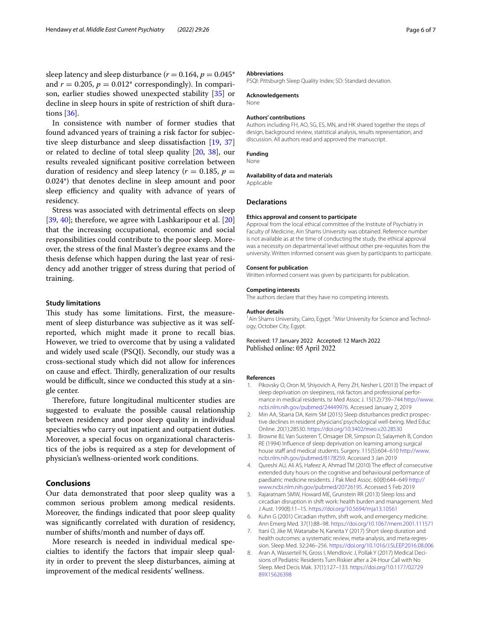sleep latency and sleep disturbance ( $r = 0.164$ ,  $p = 0.045^*$ and  $r = 0.205$ ,  $p = 0.012$ <sup>\*</sup> correspondingly). In comparison, earlier studies showed unexpected stability [[35\]](#page-6-25) or decline in sleep hours in spite of restriction of shift durations [\[36](#page-6-26)].

In consistence with number of former studies that found advanced years of training a risk factor for subjective sleep disturbance and sleep dissatisfaction [\[19](#page-6-8), [37](#page-6-27)] or related to decline of total sleep quality [\[20](#page-6-12), [38](#page-6-28)], our results revealed signifcant positive correlation between duration of residency and sleep latency ( $r = 0.185$ ,  $p =$ 0.024\*) that denotes decline in sleep amount and poor sleep efficiency and quality with advance of years of residency.

Stress was associated with detrimental efects on sleep [[39,](#page-6-29) [40](#page-6-30)]; therefore, we agree with Lashkaripour et al. [[20](#page-6-12)] that the increasing occupational, economic and social responsibilities could contribute to the poor sleep. Moreover, the stress of the fnal Master's degree exams and the thesis defense which happen during the last year of residency add another trigger of stress during that period of training.

#### **Study limitations**

This study has some limitations. First, the measurement of sleep disturbance was subjective as it was selfreported, which might made it prone to recall bias. However, we tried to overcome that by using a validated and widely used scale (PSQI). Secondly, our study was a cross-sectional study which did not allow for inferences on cause and effect. Thirdly, generalization of our results would be difficult, since we conducted this study at a single center.

Therefore, future longitudinal multicenter studies are suggested to evaluate the possible causal relationship between residency and poor sleep quality in individual specialties who carry out inpatient and outpatient duties. Moreover, a special focus on organizational characteristics of the jobs is required as a step for development of physician's wellness-oriented work conditions.

#### **Conclusions**

Our data demonstrated that poor sleep quality was a common serious problem among medical residents. Moreover, the fndings indicated that poor sleep quality was signifcantly correlated with duration of residency, number of shifts/month and number of days of.

More research is needed in individual medical specialties to identify the factors that impair sleep quality in order to prevent the sleep disturbances, aiming at improvement of the medical residents' wellness.

#### **Abbreviations**

PSQI: Pittsburgh Sleep Quality Index; SD: Standard deviation.

#### **Acknowledgements**

None

#### **Authors' contributions**

Authors including FH, AO, SG, ES, MN, and HK shared together the steps of design, background review, statistical analysis, results representation, and discussion. All authors read and approved the manuscript.

#### **Funding**

None

#### **Availability of data and materials**

Applicable

#### **Declarations**

#### **Ethics approval and consent to participate**

Approval from the local ethical committee of the Institute of Psychiatry in Faculty of Medicine, Ain Shams University was obtained. Reference number is not available as at the time of conducting the study, the ethical approval was a necessity on departmental level without other pre-requisites from the university. Written informed consent was given by participants to participate.

#### **Consent for publication**

Written informed consent was given by participants for publication.

#### **Competing interests**

The authors declare that they have no competing interests.

#### **Author details**

<sup>1</sup> Ain Shams University, Cairo, Egypt. <sup>2</sup> Misr University for Science and Technology, October City, Egypt.

Received: 17 January 2022 Accepted: 12 March 2022

#### **References**

- <span id="page-5-0"></span>1. Pikovsky O, Oron M, Shiyovich A, Perry ZH, Nesher L (2013) The impact of sleep deprivation on sleepiness, risk factors and professional performance in medical residents. Isr Med Assoc J. 15(12):739–744 [http://www.](http://www.ncbi.nlm.nih.gov/pubmed/24449976) [ncbi.nlm.nih.gov/pubmed/24449976](http://www.ncbi.nlm.nih.gov/pubmed/24449976). Accessed January 2, 2019
- 2. Min AA, Sbarra DA, Keim SM (2015) Sleep disturbances predict prospective declines in resident physicians' psychological well-being. Med Educ Online. 20(1):28530. <https://doi.org/10.3402/meo.v20.28530>
- <span id="page-5-6"></span>3. Browne BJ, Van Susteren T, Onsager DR, Simpson D, Salaymeh B, Condon RE (1994) Infuence of sleep deprivation on learning among surgical house staff and medical students. Surgery. 115(5):604-610 [http://www.](http://www.ncbi.nlm.nih.gov/pubmed/8178259) [ncbi.nlm.nih.gov/pubmed/8178259](http://www.ncbi.nlm.nih.gov/pubmed/8178259). Accessed 3 Jan 2019
- <span id="page-5-1"></span>4. Qureshi AU, Ali AS, Hafeez A, Ahmad TM (2010) The efect of consecutive extended duty hours on the cognitive and behavioural performance of paediatric medicine residents. J Pak Med Assoc. 60(8):644–649 [http://](http://www.ncbi.nlm.nih.gov/pubmed/20726195) [www.ncbi.nlm.nih.gov/pubmed/20726195.](http://www.ncbi.nlm.nih.gov/pubmed/20726195) Accessed 5 Feb 2019
- <span id="page-5-2"></span>5. Rajaratnam SMW, Howard ME, Grunstein RR (2013) Sleep loss and circadian disruption in shift work: health burden and management. Med J Aust. 199(8):11–15. <https://doi.org/10.5694/mja13.10561>
- <span id="page-5-3"></span>6. Kuhn G (2001) Circadian rhythm, shift work, and emergency medicine. Ann Emerg Med. 37(1):88–98.<https://doi.org/10.1067/mem.2001.111571>
- <span id="page-5-4"></span>7. Itani O, Jike M, Watanabe N, Kaneita Y (2017) Short sleep duration and health outcomes: a systematic review, meta-analysis, and meta-regression. Sleep Med. 32:246–256. <https://doi.org/10.1016/J.SLEEP.2016.08.006>
- <span id="page-5-5"></span>8. Aran A, Wasserteil N, Gross I, Mendlovic J, Pollak Y (2017) Medical Decisions of Pediatric Residents Turn Riskier after a 24-Hour Call with No Sleep. Med Decis Mak. 37(1):127–133. [https://doi.org/10.1177/02729](https://doi.org/10.1177/0272989X15626398) [89X15626398](https://doi.org/10.1177/0272989X15626398)